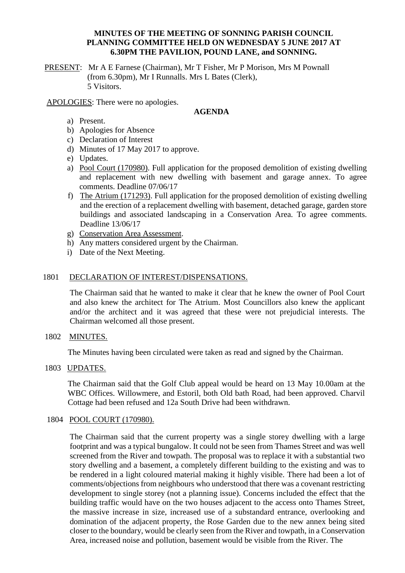### **MINUTES OF THE MEETING OF SONNING PARISH COUNCIL PLANNING COMMITTEE HELD ON WEDNESDAY 5 JUNE 2017 AT 6.30PM THE PAVILION, POUND LANE, and SONNING.**

PRESENT: Mr A E Farnese (Chairman), Mr T Fisher, Mr P Morison, Mrs M Pownall (from 6.30pm), Mr I Runnalls. Mrs L Bates (Clerk), 5 Visitors.

APOLOGIES: There were no apologies.

### **AGENDA**

- a) Present.
- b) Apologies for Absence
- c) Declaration of Interest
- d) Minutes of 17 May 2017 to approve.
- e) Updates.
- a) Pool Court (170980). Full application for the proposed demolition of existing dwelling and replacement with new dwelling with basement and garage annex. To agree comments. Deadline 07/06/17
- f) The Atrium (171293). Full application for the proposed demolition of existing dwelling and the erection of a replacement dwelling with basement, detached garage, garden store buildings and associated landscaping in a Conservation Area. To agree comments. Deadline 13/06/17
- g) Conservation Area Assessment.
- h) Any matters considered urgent by the Chairman.
- i) Date of the Next Meeting.

### 1801 DECLARATION OF INTEREST/DISPENSATIONS.

The Chairman said that he wanted to make it clear that he knew the owner of Pool Court and also knew the architect for The Atrium. Most Councillors also knew the applicant and/or the architect and it was agreed that these were not prejudicial interests. The Chairman welcomed all those present.

## 1802 MINUTES.

The Minutes having been circulated were taken as read and signed by the Chairman.

1803 UPDATES.

The Chairman said that the Golf Club appeal would be heard on 13 May 10.00am at the WBC Offices. Willowmere, and Estoril, both Old bath Road, had been approved. Charvil Cottage had been refused and 12a South Drive had been withdrawn.

#### 1804 POOL COURT (170980).

The Chairman said that the current property was a single storey dwelling with a large footprint and was a typical bungalow. It could not be seen from Thames Street and was well screened from the River and towpath. The proposal was to replace it with a substantial two story dwelling and a basement, a completely different building to the existing and was to be rendered in a light coloured material making it highly visible. There had been a lot of comments/objections from neighbours who understood that there was a covenant restricting development to single storey (not a planning issue). Concerns included the effect that the building traffic would have on the two houses adjacent to the access onto Thames Street, the massive increase in size, increased use of a substandard entrance, overlooking and domination of the adjacent property, the Rose Garden due to the new annex being sited closer to the boundary, would be clearly seen from the River and towpath, in a Conservation Area, increased noise and pollution, basement would be visible from the River. The